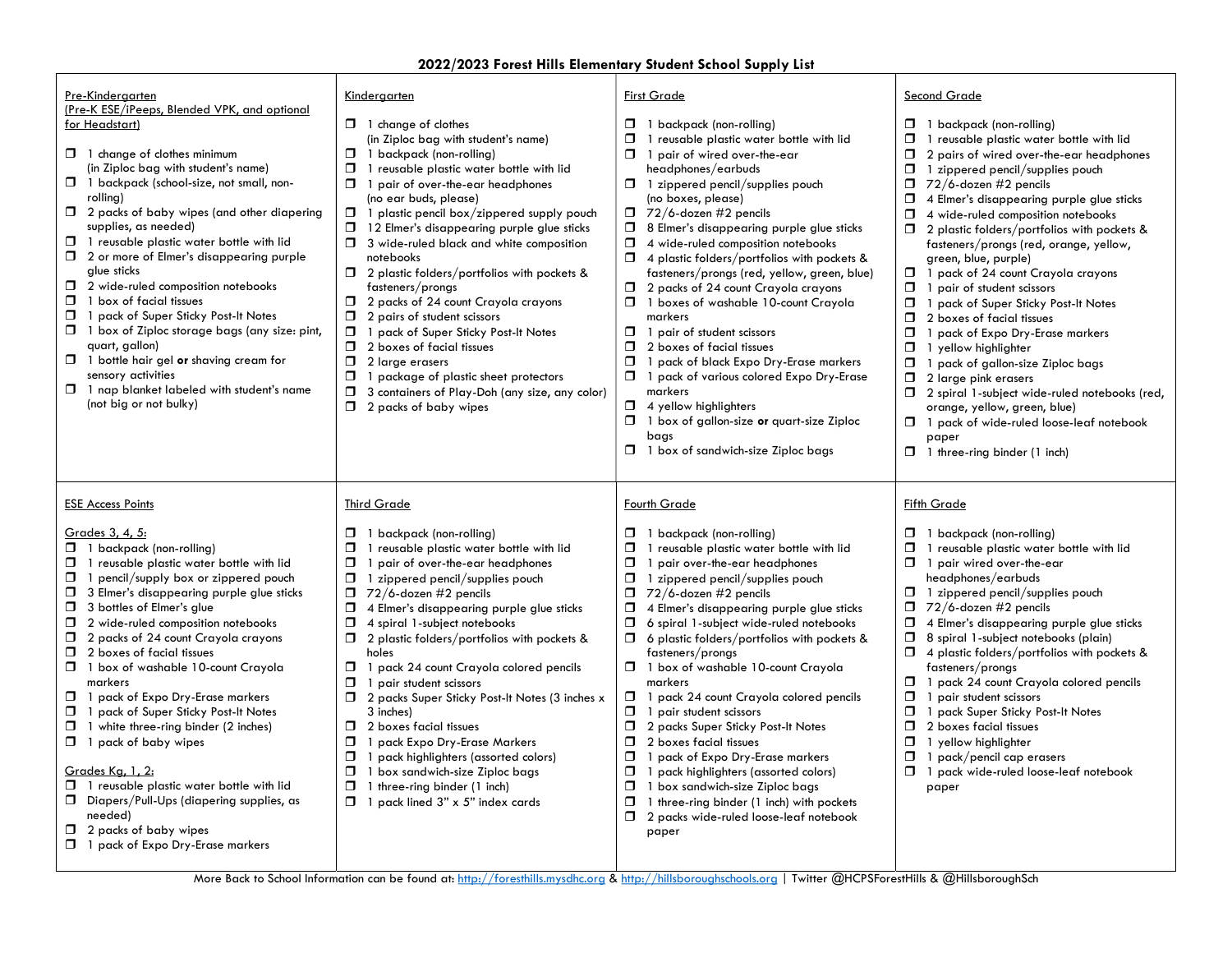#### 2022/2023 Forest Hills Elementary Student School Supply List

| Pre-Kindergarten                                                                                                                                                                                                                                                                                                                                                                                                                                                                                                                                                                                                                                                                                                                                                                                                                                         | Kindergarten                                                                                                                                                                                                                                                                                                                                                                                                                                                                                                                                                                                                                                                                                                                                                                                                       | <b>First Grade</b>                                                                                                                                                                                                                                                                                                                                                                                                                                                                                                                                                                                                                                                                                                                                                                                                                                                                                | <b>Second Grade</b>                                                                                                                                                                                                                                                                                                                                                                                                                                                                                                                                                                                                                                                                                                                                                                                                                                                                                                                         |
|----------------------------------------------------------------------------------------------------------------------------------------------------------------------------------------------------------------------------------------------------------------------------------------------------------------------------------------------------------------------------------------------------------------------------------------------------------------------------------------------------------------------------------------------------------------------------------------------------------------------------------------------------------------------------------------------------------------------------------------------------------------------------------------------------------------------------------------------------------|--------------------------------------------------------------------------------------------------------------------------------------------------------------------------------------------------------------------------------------------------------------------------------------------------------------------------------------------------------------------------------------------------------------------------------------------------------------------------------------------------------------------------------------------------------------------------------------------------------------------------------------------------------------------------------------------------------------------------------------------------------------------------------------------------------------------|---------------------------------------------------------------------------------------------------------------------------------------------------------------------------------------------------------------------------------------------------------------------------------------------------------------------------------------------------------------------------------------------------------------------------------------------------------------------------------------------------------------------------------------------------------------------------------------------------------------------------------------------------------------------------------------------------------------------------------------------------------------------------------------------------------------------------------------------------------------------------------------------------|---------------------------------------------------------------------------------------------------------------------------------------------------------------------------------------------------------------------------------------------------------------------------------------------------------------------------------------------------------------------------------------------------------------------------------------------------------------------------------------------------------------------------------------------------------------------------------------------------------------------------------------------------------------------------------------------------------------------------------------------------------------------------------------------------------------------------------------------------------------------------------------------------------------------------------------------|
| (Pre-K ESE/iPeeps, Blended VPK, and optional<br>for Headstart)<br>$\Box$ 1 change of clothes minimum<br>(in Ziploc bag with student's name)<br>$\Box$ 1 backpack (school-size, not small, non-<br>rolling)<br>$\Box$ 2 packs of baby wipes (and other diapering<br>supplies, as needed)<br>$\Box$ 1 reusable plastic water bottle with lid<br>$\Box$ 2 or more of Elmer's disappearing purple<br>glue sticks<br>$\Box$ 2 wide-ruled composition notebooks<br>$\Box$ 1 box of facial tissues<br>1 pack of Super Sticky Post-It Notes<br>$\Box$ 1 box of Ziploc storage bags (any size: pint,<br>quart, gallon)<br>1 bottle hair gel or shaving cream for<br>$\Box$<br>sensory activities<br>$\Box$ 1 nap blanket labeled with student's name<br>(not big or not bulky)                                                                                    | $\Box$ 1 change of clothes<br>(in Ziploc bag with student's name)<br>$\Box$ 1 backpack (non-rolling)<br>Π.<br>1 reusable plastic water bottle with lid<br>$\Box$ 1 pair of over-the-ear headphones<br>(no ear buds, please)<br>$\Box$ 1 plastic pencil box/zippered supply pouch<br>$\Box$ 12 Elmer's disappearing purple glue sticks<br>$\Box$ 3 wide-ruled black and white composition<br>notebooks<br>$\Box$ 2 plastic folders/portfolios with pockets &<br>fasteners/pronas<br>$\Box$ 2 packs of 24 count Crayola crayons<br>Ο.<br>2 pairs of student scissors<br>1 pack of Super Sticky Post-It Notes<br>$\Box$ 2 boxes of facial tissues<br>$\Box$<br>2 large erasers<br>Ο.<br>1 package of plastic sheet protectors<br>3 containers of Play-Doh (any size, any color)<br>Ο.<br>$\Box$ 2 packs of baby wipes | $\Box$ 1 backpack (non-rolling)<br>$\Box$ 1 reusable plastic water bottle with lid<br>$\Box$ 1 pair of wired over-the-ear<br>headphones/earbuds<br>$\Box$ 1 zippered pencil/supplies pouch<br>(no boxes, please)<br>$\Box$ 72/6-dozen #2 pencils<br><b>3</b> 8 Elmer's disappearing purple glue sticks<br>$\Box$ 4 wide-ruled composition notebooks<br>$\Box$ 4 plastic folders/portfolios with pockets &<br>fasteners/prongs (red, yellow, green, blue)<br>$\Box$ 2 packs of 24 count Crayola crayons<br>$\Box$ 1 boxes of washable 10-count Crayola<br>markers<br>$\Box$ 1 pair of student scissors<br>$\Box$ 2 boxes of facial tissues<br>$\Box$ 1 pack of black Expo Dry-Erase markers<br>$\Box$ 1 pack of various colored Expo Dry-Erase<br>markers<br>$\Box$ 4 yellow highlighters<br>$\Box$ 1 box of gallon-size or quart-size Ziploc<br>bags<br>$\Box$ 1 box of sandwich-size Ziploc bags | $\Box$ 1 backpack (non-rolling)<br>Ω.<br>1 reusable plastic water bottle with lid<br>$\Box$ 2 pairs of wired over-the-ear headphones<br>$\Box$ 1 zippered pencil/supplies pouch<br>$\Box$ 72/6-dozen #2 pencils<br>4 Elmer's disappearing purple glue sticks<br>$\Box$<br>4 wide-ruled composition notebooks<br>$\Box$ 2 plastic folders/portfolios with pockets &<br>fasteners/prongs (red, orange, yellow,<br>green, blue, purple)<br>1 pack of 24 count Crayola crayons<br>$\Box$ 1 pair of student scissors<br>1 pack of Super Sticky Post-It Notes<br>$\Box$ 2 boxes of facial tissues<br>$\Box$ 1 pack of Expo Dry-Erase markers<br>$\Box$ 1 yellow highlighter<br>$\Box$ 1 pack of gallon-size Ziploc bags<br>$\Box$ 2 large pink erasers<br>$\Box$ 2 spiral 1-subject wide-ruled notebooks (red,<br>orange, yellow, green, blue)<br>$\Box$ 1 pack of wide-ruled loose-leaf notebook<br>paper<br>$\Box$ 1 three-ring binder (1 inch) |
| <b>ESE Access Points</b><br>Grades 3, 4, 5:<br>$\Box$ 1 backpack (non-rolling)<br>$\Box$ 1 reusable plastic water bottle with lid<br>$\Box$ 1 pencil/supply box or zippered pouch<br>$\Box$ 3 Elmer's disappearing purple glue sticks<br>$\Box$ 3 bottles of Elmer's glue<br>$\Box$<br>2 wide-ruled composition notebooks<br>$\Box$ 2 packs of 24 count Crayola crayons<br>$\Box$ 2 boxes of facial tissues<br>1 1 box of washable 10-count Crayola<br>markers<br>0<br>1 pack of Expo Dry-Erase markers<br>1 pack of Super Sticky Post-It Notes<br>ο.<br>$\Box$ 1 white three-ring binder (2 inches)<br>$\Box$ 1 pack of baby wipes<br><u>Grades Kg, 1, 2:</u><br>$\Box$ 1 reusable plastic water bottle with lid<br>$\Box$ Diapers/Pull-Ups (diapering supplies, as<br>needed)<br>2 packs of baby wipes<br>□<br>$\Box$ 1 pack of Expo Dry-Erase markers | <b>Third Grade</b><br>$\Box$ 1 backpack (non-rolling)<br>1 reusable plastic water bottle with lid<br>Ο.<br>1 pair of over-the-ear headphones<br>Ο.<br>Ο.<br>1 zippered pencil/supplies pouch<br>$\Box$ 72/6-dozen #2 pencils<br>4 Elmer's disappearing purple glue sticks<br>Π.<br>4 spiral 1-subject notebooks<br>$\Box$ 2 plastic folders/portfolios with pockets &<br>holes<br>1 pack 24 count Crayola colored pencils<br>σ.<br>1 pair student scissors<br>π.<br>7 2 packs Super Sticky Post-It Notes (3 inches x<br>3 inches)<br>Ο.<br>2 boxes facial tissues<br>1 pack Expo Dry-Erase Markers<br>1 pack highlighters (assorted colors)<br>Ο.<br>1 box sandwich-size Ziploc bags<br>Ο.<br>$\Box$<br>1 three-ring binder (1 inch)<br>$\Box$ 1 pack lined 3" x 5" index cards                                    | Fourth Grade<br>$\Box$ 1 backpack (non-rolling)<br>$\Box$ 1 reusable plastic water bottle with lid<br>$\Box$ 1 pair over-the-ear headphones<br>$\Box$ 1 zippered pencil/supplies pouch<br>$\Box$ 72/6-dozen #2 pencils<br>4 Elmer's disappearing purple glue sticks<br>$\Box$ 6 spiral 1-subject wide-ruled notebooks<br>$\Box$ 6 plastic folders/portfolios with pockets &<br>fasteners/prongs<br>$\Box$ 1 box of washable 10-count Crayola<br>markers<br>1 pack 24 count Crayola colored pencils<br>$\Box$ 1 pair student scissors<br>7 2 packs Super Sticky Post-It Notes<br>$\Box$ 2 boxes facial tissues<br>1 pack of Expo Dry-Erase markers<br>$\Box$ 1 pack highlighters (assorted colors)<br>$\Box$ 1 box sandwich-size Ziploc bags<br>$\Box$ 1 three-ring binder (1 inch) with pockets<br>$\Box$ 2 packs wide-ruled loose-leaf notebook<br>paper                                         | Fifth Grade<br>$\Box$ 1 backpack (non-rolling)<br>1 reusable plastic water bottle with lid<br>ο.<br>$\Box$ 1 pair wired over-the-ear<br>headphones/earbuds<br>$\Box$ 1 zippered pencil/supplies pouch<br>$\Box$ 72/6-dozen #2 pencils<br>Ω.<br>4 Elmer's disappearing purple glue sticks<br>$\Box$ 8 spiral 1-subject notebooks (plain)<br>$\Box$ 4 plastic folders/portfolios with pockets &<br>fasteners/prongs<br>1 pack 24 count Crayola colored pencils<br>$\Box$ 1 pair student scissors<br>ο.<br>1 pack Super Sticky Post-It Notes<br>$\Box$<br>2 boxes facial tissues<br>$\Box$ 1 yellow highlighter<br>$\Box$ 1 pack/pencil cap erasers<br>1 pack wide-ruled loose-leaf notebook<br>paper                                                                                                                                                                                                                                          |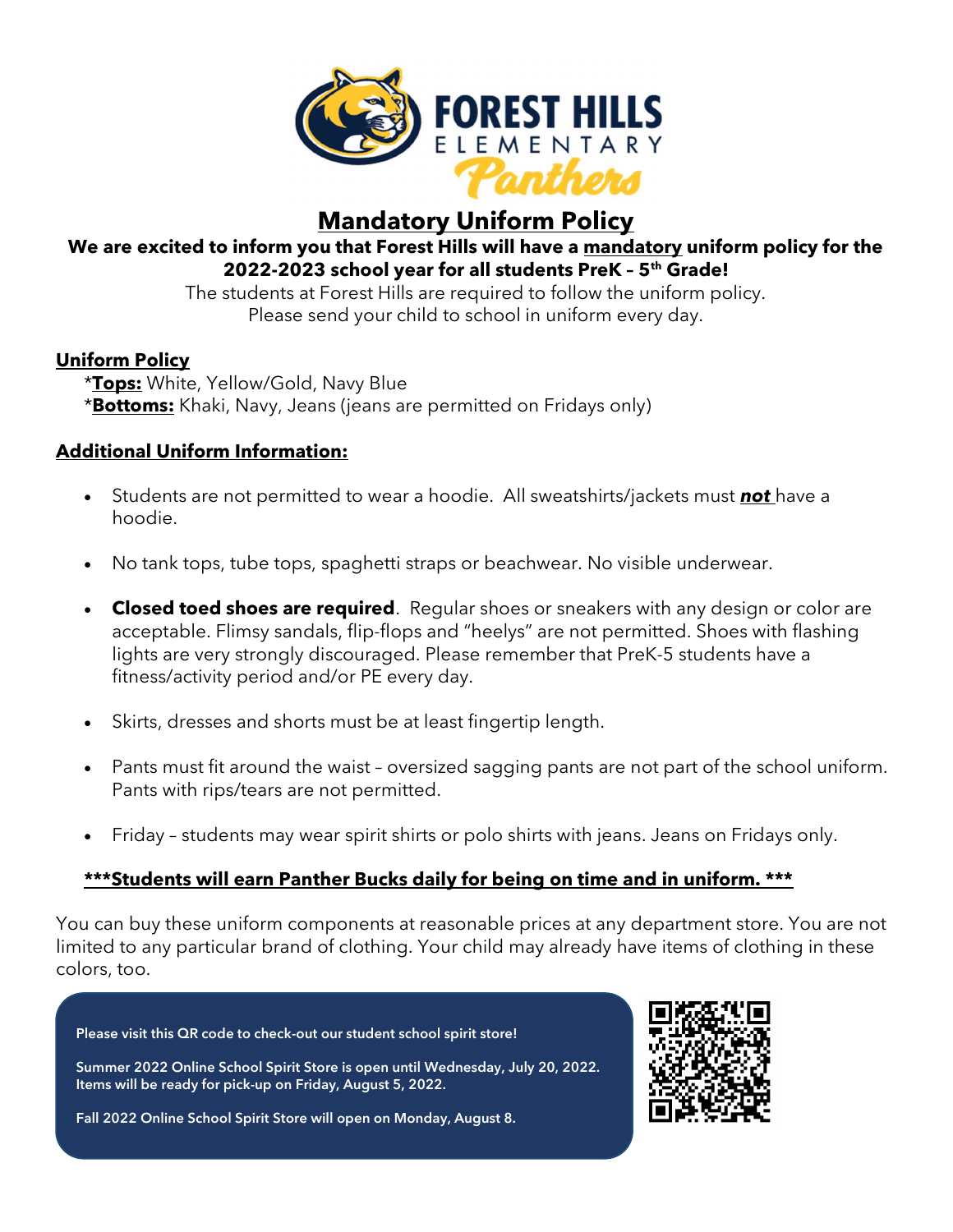

# Mandatory Uniform Policy

## We are excited to inform you that Forest Hills will have a mandatory uniform policy for the 2022-2023 school year for all students PreK - 5<sup>th</sup> Grade!

The students at Forest Hills are required to follow the uniform policy. Please send your child to school in uniform every day.

## Uniform Policy

\***Tops:** White, Yellow/Gold, Navy Blue \*Bottoms: Khaki, Navy, Jeans (jeans are permitted on Fridays only)

## Additional Uniform Information:

- Students are not permitted to wear a hoodie. All sweatshirts/jackets must **not** have a hoodie.
- No tank tops, tube tops, spaghetti straps or beachwear. No visible underwear.
- Closed toed shoes are required. Reqular shoes or sneakers with any design or color are acceptable. Flimsy sandals, flip-flops and "heelys" are not permitted. Shoes with flashing lights are very strongly discouraged. Please remember that PreK-5 students have a fitness/activity period and/or PE every day.
- Skirts, dresses and shorts must be at least fingertip length.
- Pants must fit around the waist oversized sagging pants are not part of the school uniform. Pants with rips/tears are not permitted.
- Friday students may wear spirit shirts or polo shirts with jeans. Jeans on Fridays only.

## \*\*\*Students will earn Panther Bucks daily for being on time and in uniform. \*\*\*

You can buy these uniform components at reasonable prices at any department store. You are not limited to any particular brand of clothing. Your child may already have items of clothing in these colors, too.